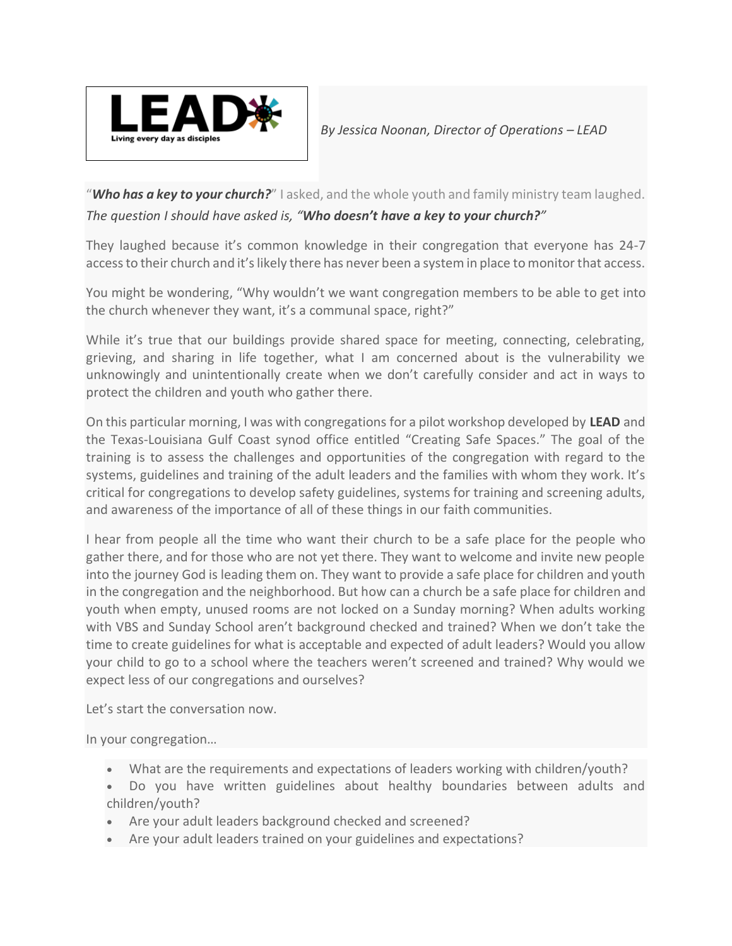

"*Who has a key to your church?*" I asked, and the whole youth and family ministry team laughed. *The question I should have asked is, "Who doesn't have a key to your church?"*

They laughed because it's common knowledge in their congregation that everyone has 24-7 access to their church and it's likely there has never been a system in place to monitor that access.

You might be wondering, "Why wouldn't we want congregation members to be able to get into the church whenever they want, it's a communal space, right?"

While it's true that our buildings provide shared space for meeting, connecting, celebrating, grieving, and sharing in life together, what I am concerned about is the vulnerability we unknowingly and unintentionally create when we don't carefully consider and act in ways to protect the children and youth who gather there.

On this particular morning, I was with congregations for a pilot workshop developed by **LEAD** and the Texas-Louisiana Gulf Coast synod office entitled "Creating Safe Spaces." The goal of the training is to assess the challenges and opportunities of the congregation with regard to the systems, guidelines and training of the adult leaders and the families with whom they work. It's critical for congregations to develop safety guidelines, systems for training and screening adults, and awareness of the importance of all of these things in our faith communities.

I hear from people all the time who want their church to be a safe place for the people who gather there, and for those who are not yet there. They want to welcome and invite new people into the journey God is leading them on. They want to provide a safe place for children and youth in the congregation and the neighborhood. But how can a church be a safe place for children and youth when empty, unused rooms are not locked on a Sunday morning? When adults working with VBS and Sunday School aren't background checked and trained? When we don't take the time to create guidelines for what is acceptable and expected of adult leaders? Would you allow your child to go to a school where the teachers weren't screened and trained? Why would we expect less of our congregations and ourselves?

Let's start the conversation now.

In your congregation…

- What are the requirements and expectations of leaders working with children/youth?
- Do you have written guidelines about healthy boundaries between adults and children/youth?
- Are your adult leaders background checked and screened?
- Are your adult leaders trained on your guidelines and expectations?